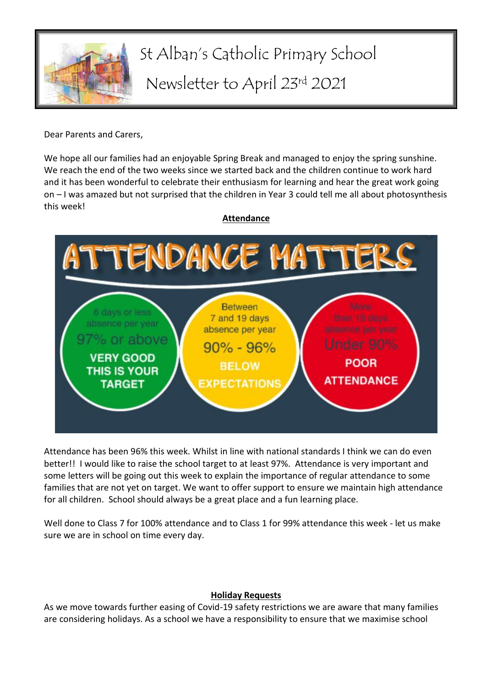

# St Alban's Catholic Primary School Newsletter to April 23rd 2021

Dear Parents and Carers,

We hope all our families had an enjoyable Spring Break and managed to enjoy the spring sunshine. We reach the end of the two weeks since we started back and the children continue to work hard and it has been wonderful to celebrate their enthusiasm for learning and hear the great work going on – I was amazed but not surprised that the children in Year 3 could tell me all about photosynthesis this week!



### **Attendance**

Attendance has been 96% this week. Whilst in line with national standards I think we can do even better!! I would like to raise the school target to at least 97%. Attendance is very important and some letters will be going out this week to explain the importance of regular attendance to some families that are not yet on target. We want to offer support to ensure we maintain high attendance for all children. School should always be a great place and a fun learning place.

Well done to Class 7 for 100% attendance and to Class 1 for 99% attendance this week - let us make sure we are in school on time every day.

## **Holiday Requests**

As we move towards further easing of Covid-19 safety restrictions we are aware that many families are considering holidays. As a school we have a responsibility to ensure that we maximise school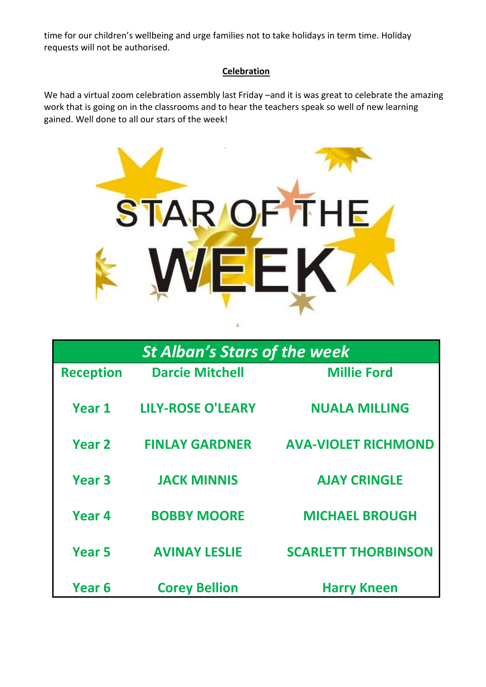time for our children's wellbeing and urge families not to take holidays in term time. Holiday requests will not be authorised.

## **Celebration**

We had a virtual zoom celebration assembly last Friday –and it is was great to celebrate the amazing work that is going on in the classrooms and to hear the teachers speak so well of new learning gained. Well done to all our stars of the week!



| <b>St Alban's Stars of the week</b> |                          |                            |
|-------------------------------------|--------------------------|----------------------------|
| <b>Reception</b>                    | <b>Darcie Mitchell</b>   | <b>Millie Ford</b>         |
| Year 1                              | <b>LILY-ROSE O'LEARY</b> | <b>NUALA MILLING</b>       |
| <b>Year 2</b>                       | <b>FINLAY GARDNER</b>    | <b>AVA-VIOLET RICHMOND</b> |
| Year <sub>3</sub>                   | <b>JACK MINNIS</b>       | <b>AJAY CRINGLE</b>        |
| Year 4                              | <b>BOBBY MOORE</b>       | <b>MICHAEL BROUGH</b>      |
| Year <sub>5</sub>                   | <b>AVINAY LESLIE</b>     | <b>SCARLETT THORBINSON</b> |
| Year 6                              | <b>Corey Bellion</b>     | <b>Harry Kneen</b>         |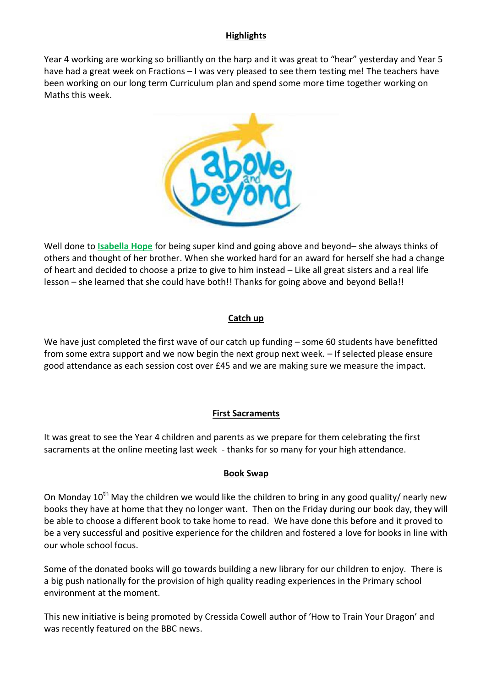## **Highlights**

Year 4 working are working so brilliantly on the harp and it was great to "hear" yesterday and Year 5 have had a great week on Fractions – I was very pleased to see them testing me! The teachers have been working on our long term Curriculum plan and spend some more time together working on Maths this week.



Well done to **Isabella Hope** for being super kind and going above and beyond– she always thinks of others and thought of her brother. When she worked hard for an award for herself she had a change of heart and decided to choose a prize to give to him instead – Like all great sisters and a real life lesson – she learned that she could have both!! Thanks for going above and beyond Bella!!

### **Catch up**

We have just completed the first wave of our catch up funding – some 60 students have benefitted from some extra support and we now begin the next group next week. – If selected please ensure good attendance as each session cost over £45 and we are making sure we measure the impact.

## **First Sacraments**

It was great to see the Year 4 children and parents as we prepare for them celebrating the first sacraments at the online meeting last week - thanks for so many for your high attendance.

### **Book Swap**

On Monday  $10^{th}$  May the children we would like the children to bring in any good quality/ nearly new books they have at home that they no longer want. Then on the Friday during our book day, they will be able to choose a different book to take home to read. We have done this before and it proved to be a very successful and positive experience for the children and fostered a love for books in line with our whole school focus.

Some of the donated books will go towards building a new library for our children to enjoy. There is a big push nationally for the provision of high quality reading experiences in the Primary school environment at the moment.

This new initiative is being promoted by Cressida Cowell author of 'How to Train Your Dragon' and was recently featured on the BBC news.